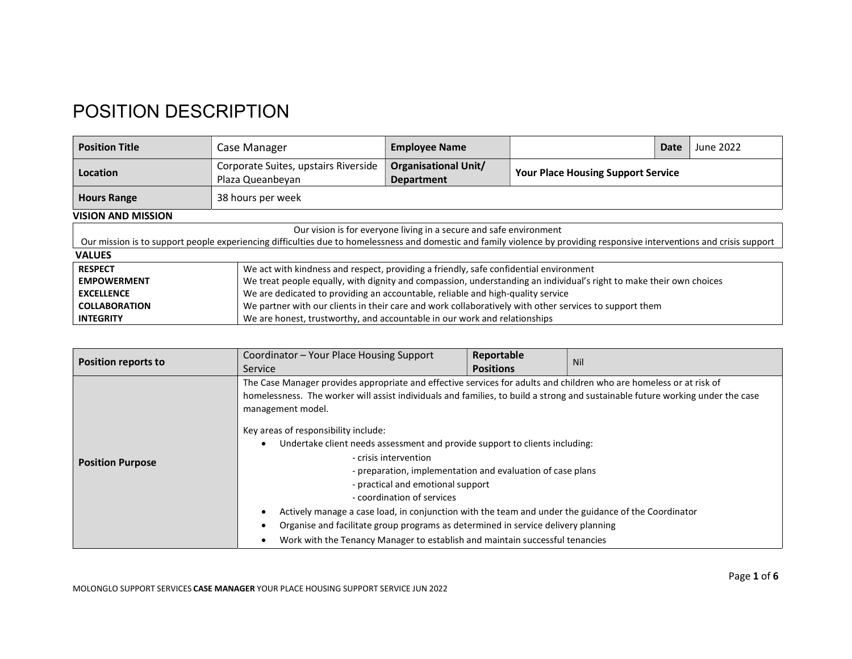## POSITION DESCRIPTION

| <b>Position Title</b>                                                                                                                                                    | Case Manager                                                                          | <b>Employee Name</b>                                                                                                |                                           | Date | June 2022 |
|--------------------------------------------------------------------------------------------------------------------------------------------------------------------------|---------------------------------------------------------------------------------------|---------------------------------------------------------------------------------------------------------------------|-------------------------------------------|------|-----------|
| Location                                                                                                                                                                 | Corporate Suites, upstairs Riverside<br>Plaza Queanbeyan                              | <b>Organisational Unit/</b><br><b>Department</b>                                                                    | <b>Your Place Housing Support Service</b> |      |           |
| <b>Hours Range</b>                                                                                                                                                       | 38 hours per week                                                                     |                                                                                                                     |                                           |      |           |
| <b>VISION AND MISSION</b>                                                                                                                                                |                                                                                       |                                                                                                                     |                                           |      |           |
| Our vision is for everyone living in a secure and safe environment                                                                                                       |                                                                                       |                                                                                                                     |                                           |      |           |
| Our mission is to support people experiencing difficulties due to homelessness and domestic and family violence by providing responsive interventions and crisis support |                                                                                       |                                                                                                                     |                                           |      |           |
| <b>VALUES</b>                                                                                                                                                            |                                                                                       |                                                                                                                     |                                           |      |           |
| <b>RESPECT</b>                                                                                                                                                           | We act with kindness and respect, providing a friendly, safe confidential environment |                                                                                                                     |                                           |      |           |
| <b>EMPOWERMENT</b>                                                                                                                                                       |                                                                                       | We treat people equally, with dignity and compassion, understanding an individual's right to make their own choices |                                           |      |           |
| <b>EXCELLENCE</b>                                                                                                                                                        |                                                                                       | We are dedicated to providing an accountable, reliable and high-quality service                                     |                                           |      |           |
| <b>COLLABORATION</b>                                                                                                                                                     |                                                                                       | We partner with our clients in their care and work collaboratively with other services to support them              |                                           |      |           |
| <b>INTEGRITY</b>                                                                                                                                                         |                                                                                       | We are honest, trustworthy, and accountable in our work and relationships                                           |                                           |      |           |

|                                                       | Coordinator - Your Place Housing Support                                                                                                                                                                                                                                                                                                                                                                                                                                                                                      | Reportable                                                                   |     |  |
|-------------------------------------------------------|-------------------------------------------------------------------------------------------------------------------------------------------------------------------------------------------------------------------------------------------------------------------------------------------------------------------------------------------------------------------------------------------------------------------------------------------------------------------------------------------------------------------------------|------------------------------------------------------------------------------|-----|--|
|                                                       | Service                                                                                                                                                                                                                                                                                                                                                                                                                                                                                                                       | <b>Positions</b>                                                             |     |  |
| <b>Position reports to</b><br><b>Position Purpose</b> | The Case Manager provides appropriate and effective services for adults and children who are homeless or at risk of<br>homelessness. The worker will assist individuals and families, to build a strong and sustainable future working under the case<br>management model.<br>Key areas of responsibility include:<br>Undertake client needs assessment and provide support to clients including:<br>- crisis intervention<br>- preparation, implementation and evaluation of case plans<br>- practical and emotional support |                                                                              | Nil |  |
|                                                       | - coordination of services                                                                                                                                                                                                                                                                                                                                                                                                                                                                                                    |                                                                              |     |  |
|                                                       | Actively manage a case load, in conjunction with the team and under the guidance of the Coordinator                                                                                                                                                                                                                                                                                                                                                                                                                           |                                                                              |     |  |
|                                                       | Organise and facilitate group programs as determined in service delivery planning                                                                                                                                                                                                                                                                                                                                                                                                                                             |                                                                              |     |  |
|                                                       |                                                                                                                                                                                                                                                                                                                                                                                                                                                                                                                               | Work with the Tenancy Manager to establish and maintain successful tenancies |     |  |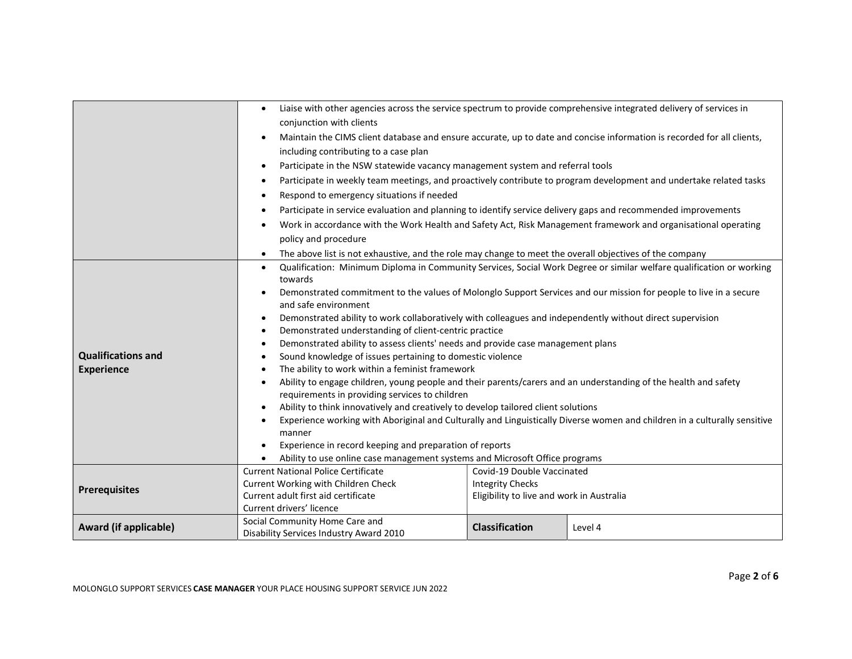|                                       | $\bullet$                                                                                                                                                                                                                                                                                                                                                                                                                                                                                                                                                                                                                           | Liaise with other agencies across the service spectrum to provide comprehensive integrated delivery of services in     |         |  |
|---------------------------------------|-------------------------------------------------------------------------------------------------------------------------------------------------------------------------------------------------------------------------------------------------------------------------------------------------------------------------------------------------------------------------------------------------------------------------------------------------------------------------------------------------------------------------------------------------------------------------------------------------------------------------------------|------------------------------------------------------------------------------------------------------------------------|---------|--|
|                                       | conjunction with clients                                                                                                                                                                                                                                                                                                                                                                                                                                                                                                                                                                                                            |                                                                                                                        |         |  |
|                                       |                                                                                                                                                                                                                                                                                                                                                                                                                                                                                                                                                                                                                                     | Maintain the CIMS client database and ensure accurate, up to date and concise information is recorded for all clients, |         |  |
| including contributing to a case plan |                                                                                                                                                                                                                                                                                                                                                                                                                                                                                                                                                                                                                                     |                                                                                                                        |         |  |
|                                       | Participate in the NSW statewide vacancy management system and referral tools<br>Participate in weekly team meetings, and proactively contribute to program development and undertake related tasks<br>Respond to emergency situations if needed<br>Participate in service evaluation and planning to identify service delivery gaps and recommended improvements<br>Work in accordance with the Work Health and Safety Act, Risk Management framework and organisational operating<br>policy and procedure<br>The above list is not exhaustive, and the role may change to meet the overall objectives of the company<br>$\bullet$ |                                                                                                                        |         |  |
|                                       |                                                                                                                                                                                                                                                                                                                                                                                                                                                                                                                                                                                                                                     |                                                                                                                        |         |  |
|                                       |                                                                                                                                                                                                                                                                                                                                                                                                                                                                                                                                                                                                                                     |                                                                                                                        |         |  |
|                                       |                                                                                                                                                                                                                                                                                                                                                                                                                                                                                                                                                                                                                                     |                                                                                                                        |         |  |
|                                       |                                                                                                                                                                                                                                                                                                                                                                                                                                                                                                                                                                                                                                     |                                                                                                                        |         |  |
|                                       |                                                                                                                                                                                                                                                                                                                                                                                                                                                                                                                                                                                                                                     |                                                                                                                        |         |  |
|                                       |                                                                                                                                                                                                                                                                                                                                                                                                                                                                                                                                                                                                                                     |                                                                                                                        |         |  |
|                                       | Qualification: Minimum Diploma in Community Services, Social Work Degree or similar welfare qualification or working<br>$\bullet$                                                                                                                                                                                                                                                                                                                                                                                                                                                                                                   |                                                                                                                        |         |  |
|                                       | towards                                                                                                                                                                                                                                                                                                                                                                                                                                                                                                                                                                                                                             |                                                                                                                        |         |  |
|                                       | Demonstrated commitment to the values of Molonglo Support Services and our mission for people to live in a secure                                                                                                                                                                                                                                                                                                                                                                                                                                                                                                                   |                                                                                                                        |         |  |
|                                       | and safe environment                                                                                                                                                                                                                                                                                                                                                                                                                                                                                                                                                                                                                |                                                                                                                        |         |  |
|                                       | Demonstrated ability to work collaboratively with colleagues and independently without direct supervision<br>٠                                                                                                                                                                                                                                                                                                                                                                                                                                                                                                                      |                                                                                                                        |         |  |
|                                       | Demonstrated understanding of client-centric practice<br>$\bullet$                                                                                                                                                                                                                                                                                                                                                                                                                                                                                                                                                                  |                                                                                                                        |         |  |
|                                       | Demonstrated ability to assess clients' needs and provide case management plans<br>$\bullet$                                                                                                                                                                                                                                                                                                                                                                                                                                                                                                                                        |                                                                                                                        |         |  |
| <b>Qualifications and</b>             | Sound knowledge of issues pertaining to domestic violence                                                                                                                                                                                                                                                                                                                                                                                                                                                                                                                                                                           |                                                                                                                        |         |  |
| <b>Experience</b>                     | The ability to work within a feminist framework                                                                                                                                                                                                                                                                                                                                                                                                                                                                                                                                                                                     |                                                                                                                        |         |  |
|                                       | Ability to engage children, young people and their parents/carers and an understanding of the health and safety<br>requirements in providing services to children                                                                                                                                                                                                                                                                                                                                                                                                                                                                   |                                                                                                                        |         |  |
|                                       | Ability to think innovatively and creatively to develop tailored client solutions                                                                                                                                                                                                                                                                                                                                                                                                                                                                                                                                                   |                                                                                                                        |         |  |
|                                       | Experience working with Aboriginal and Culturally and Linguistically Diverse women and children in a culturally sensitive                                                                                                                                                                                                                                                                                                                                                                                                                                                                                                           |                                                                                                                        |         |  |
|                                       | manner                                                                                                                                                                                                                                                                                                                                                                                                                                                                                                                                                                                                                              |                                                                                                                        |         |  |
|                                       | Experience in record keeping and preparation of reports                                                                                                                                                                                                                                                                                                                                                                                                                                                                                                                                                                             |                                                                                                                        |         |  |
|                                       | Ability to use online case management systems and Microsoft Office programs                                                                                                                                                                                                                                                                                                                                                                                                                                                                                                                                                         |                                                                                                                        |         |  |
|                                       | <b>Current National Police Certificate</b>                                                                                                                                                                                                                                                                                                                                                                                                                                                                                                                                                                                          | Covid-19 Double Vaccinated                                                                                             |         |  |
|                                       | Current Working with Children Check                                                                                                                                                                                                                                                                                                                                                                                                                                                                                                                                                                                                 | <b>Integrity Checks</b>                                                                                                |         |  |
| <b>Prerequisites</b>                  | Current adult first aid certificate                                                                                                                                                                                                                                                                                                                                                                                                                                                                                                                                                                                                 | Eligibility to live and work in Australia                                                                              |         |  |
|                                       | Current drivers' licence                                                                                                                                                                                                                                                                                                                                                                                                                                                                                                                                                                                                            |                                                                                                                        |         |  |
| Award (if applicable)                 | Social Community Home Care and                                                                                                                                                                                                                                                                                                                                                                                                                                                                                                                                                                                                      | <b>Classification</b>                                                                                                  | Level 4 |  |
|                                       | Disability Services Industry Award 2010                                                                                                                                                                                                                                                                                                                                                                                                                                                                                                                                                                                             |                                                                                                                        |         |  |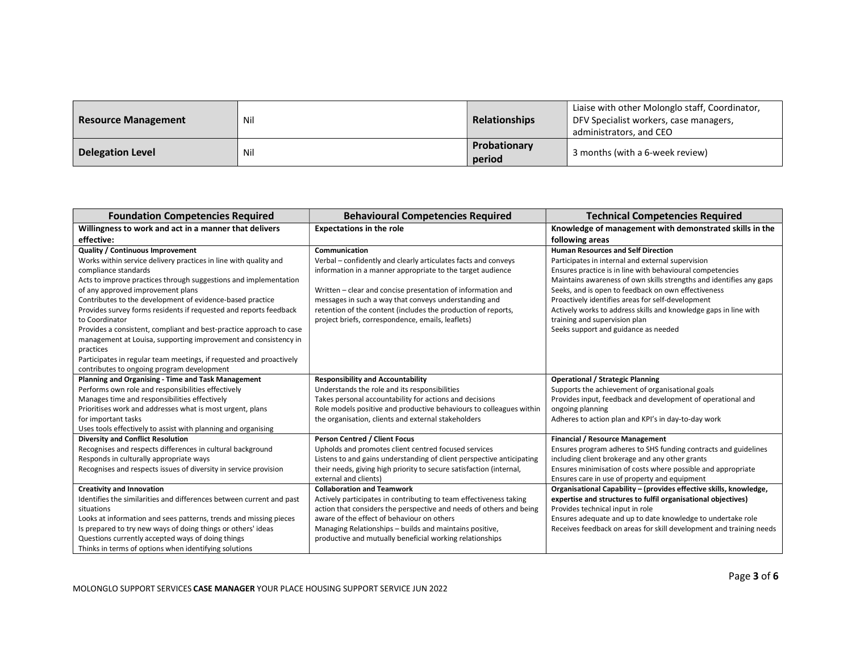| <b>Resource Management</b> | Nil | <b>Relationships</b>   | Liaise with other Molonglo staff, Coordinator,<br>DFV Specialist workers, case managers,<br>administrators, and CEO |
|----------------------------|-----|------------------------|---------------------------------------------------------------------------------------------------------------------|
| <b>Delegation Level</b>    | Nil | Probationary<br>period | 3 months (with a 6-week review)                                                                                     |

| <b>Foundation Competencies Required</b>                                                                                                                                                                                                                                                                                                                                                                                                                                                                                                          | <b>Behavioural Competencies Required</b>                                                                                                                                                                                                                                                                                                                                                    | <b>Technical Competencies Required</b>                                                                                                                                                                                                                                                                                                                                                                                                                                                      |
|--------------------------------------------------------------------------------------------------------------------------------------------------------------------------------------------------------------------------------------------------------------------------------------------------------------------------------------------------------------------------------------------------------------------------------------------------------------------------------------------------------------------------------------------------|---------------------------------------------------------------------------------------------------------------------------------------------------------------------------------------------------------------------------------------------------------------------------------------------------------------------------------------------------------------------------------------------|---------------------------------------------------------------------------------------------------------------------------------------------------------------------------------------------------------------------------------------------------------------------------------------------------------------------------------------------------------------------------------------------------------------------------------------------------------------------------------------------|
| Willingness to work and act in a manner that delivers                                                                                                                                                                                                                                                                                                                                                                                                                                                                                            | <b>Expectations in the role</b>                                                                                                                                                                                                                                                                                                                                                             | Knowledge of management with demonstrated skills in the                                                                                                                                                                                                                                                                                                                                                                                                                                     |
| effective:                                                                                                                                                                                                                                                                                                                                                                                                                                                                                                                                       |                                                                                                                                                                                                                                                                                                                                                                                             | following areas                                                                                                                                                                                                                                                                                                                                                                                                                                                                             |
| Quality / Continuous Improvement<br>Works within service delivery practices in line with quality and<br>compliance standards<br>Acts to improve practices through suggestions and implementation<br>of any approved improvement plans<br>Contributes to the development of evidence-based practice<br>Provides survey forms residents if requested and reports feedback<br>to Coordinator<br>Provides a consistent, compliant and best-practice approach to case<br>management at Louisa, supporting improvement and consistency in<br>practices | Communication<br>Verbal - confidently and clearly articulates facts and conveys<br>information in a manner appropriate to the target audience<br>Written – clear and concise presentation of information and<br>messages in such a way that conveys understanding and<br>retention of the content (includes the production of reports,<br>project briefs, correspondence, emails, leaflets) | <b>Human Resources and Self Direction</b><br>Participates in internal and external supervision<br>Ensures practice is in line with behavioural competencies<br>Maintains awareness of own skills strengths and identifies any gaps<br>Seeks, and is open to feedback on own effectiveness<br>Proactively identifies areas for self-development<br>Actively works to address skills and knowledge gaps in line with<br>training and supervision plan<br>Seeks support and guidance as needed |
| Participates in regular team meetings, if requested and proactively<br>contributes to ongoing program development<br>Planning and Organising - Time and Task Management<br>Performs own role and responsibilities effectively<br>Manages time and responsibilities effectively<br>Prioritises work and addresses what is most urgent, plans                                                                                                                                                                                                      | <b>Responsibility and Accountability</b><br>Understands the role and its responsibilities<br>Takes personal accountability for actions and decisions<br>Role models positive and productive behaviours to colleagues within                                                                                                                                                                 | <b>Operational / Strategic Planning</b><br>Supports the achievement of organisational goals<br>Provides input, feedback and development of operational and<br>ongoing planning                                                                                                                                                                                                                                                                                                              |
| for important tasks<br>Uses tools effectively to assist with planning and organising                                                                                                                                                                                                                                                                                                                                                                                                                                                             | the organisation, clients and external stakeholders                                                                                                                                                                                                                                                                                                                                         | Adheres to action plan and KPI's in day-to-day work                                                                                                                                                                                                                                                                                                                                                                                                                                         |
| <b>Diversity and Conflict Resolution</b><br>Recognises and respects differences in cultural background<br>Responds in culturally appropriate ways<br>Recognises and respects issues of diversity in service provision                                                                                                                                                                                                                                                                                                                            | <b>Person Centred / Client Focus</b><br>Upholds and promotes client centred focused services<br>Listens to and gains understanding of client perspective anticipating<br>their needs, giving high priority to secure satisfaction (internal,<br>external and clients)                                                                                                                       | <b>Financial / Resource Management</b><br>Ensures program adheres to SHS funding contracts and guidelines<br>including client brokerage and any other grants<br>Ensures minimisation of costs where possible and appropriate<br>Ensures care in use of property and equipment                                                                                                                                                                                                               |
| <b>Creativity and Innovation</b><br>Identifies the similarities and differences between current and past<br>situations<br>Looks at information and sees patterns, trends and missing pieces<br>Is prepared to try new ways of doing things or others' ideas<br>Questions currently accepted ways of doing things<br>Thinks in terms of options when identifying solutions                                                                                                                                                                        | <b>Collaboration and Teamwork</b><br>Actively participates in contributing to team effectiveness taking<br>action that considers the perspective and needs of others and being<br>aware of the effect of behaviour on others<br>Managing Relationships - builds and maintains positive,<br>productive and mutually beneficial working relationships                                         | Organisational Capability - (provides effective skills, knowledge,<br>expertise and structures to fulfil organisational objectives)<br>Provides technical input in role<br>Ensures adequate and up to date knowledge to undertake role<br>Receives feedback on areas for skill development and training needs                                                                                                                                                                               |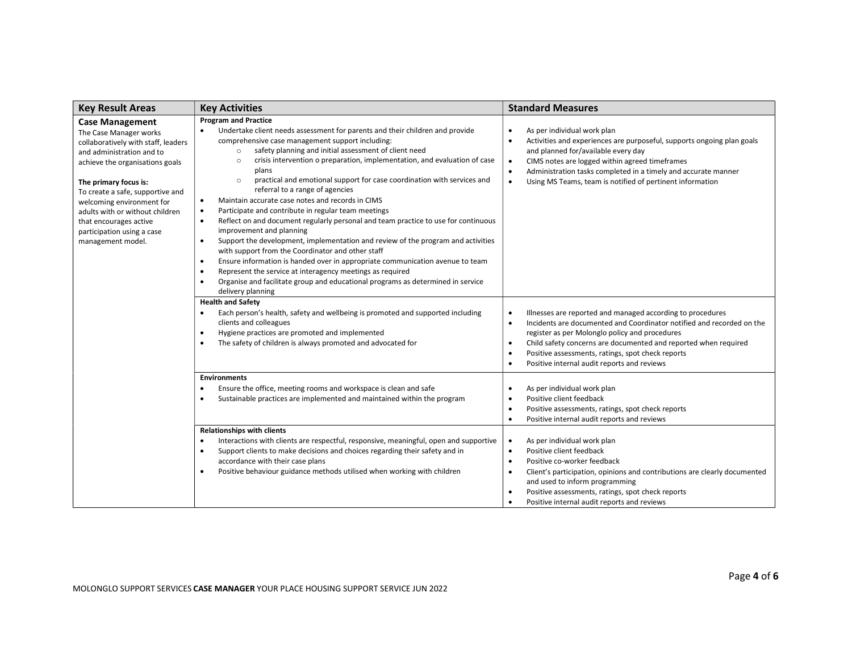| <b>Key Result Areas</b>                                                                                                                                                                                                                                                                                                                                           | <b>Key Activities</b>                                                                                                                                                                                                                                                                                                                                                                                                                                                                                                                                                                                                                                                                                                                                                                                                                                                                                                                                                                                                                                                                                                                                                        | <b>Standard Measures</b>                                                                                                                                                                                                                                                                                                                                                                                                      |
|-------------------------------------------------------------------------------------------------------------------------------------------------------------------------------------------------------------------------------------------------------------------------------------------------------------------------------------------------------------------|------------------------------------------------------------------------------------------------------------------------------------------------------------------------------------------------------------------------------------------------------------------------------------------------------------------------------------------------------------------------------------------------------------------------------------------------------------------------------------------------------------------------------------------------------------------------------------------------------------------------------------------------------------------------------------------------------------------------------------------------------------------------------------------------------------------------------------------------------------------------------------------------------------------------------------------------------------------------------------------------------------------------------------------------------------------------------------------------------------------------------------------------------------------------------|-------------------------------------------------------------------------------------------------------------------------------------------------------------------------------------------------------------------------------------------------------------------------------------------------------------------------------------------------------------------------------------------------------------------------------|
| <b>Case Management</b><br>The Case Manager works<br>collaboratively with staff, leaders<br>and administration and to<br>achieve the organisations goals<br>The primary focus is:<br>To create a safe, supportive and<br>welcoming environment for<br>adults with or without children<br>that encourages active<br>participation using a case<br>management model. | <b>Program and Practice</b><br>Undertake client needs assessment for parents and their children and provide<br>comprehensive case management support including:<br>safety planning and initial assessment of client need<br>$\circ$<br>crisis intervention o preparation, implementation, and evaluation of case<br>$\circ$<br>plans<br>practical and emotional support for case coordination with services and<br>$\circ$<br>referral to a range of agencies<br>Maintain accurate case notes and records in CIMS<br>$\bullet$<br>Participate and contribute in regular team meetings<br>$\bullet$<br>Reflect on and document regularly personal and team practice to use for continuous<br>$\bullet$<br>improvement and planning<br>Support the development, implementation and review of the program and activities<br>$\bullet$<br>with support from the Coordinator and other staff<br>Ensure information is handed over in appropriate communication avenue to team<br>٠<br>Represent the service at interagency meetings as required<br>$\bullet$<br>Organise and facilitate group and educational programs as determined in service<br>$\bullet$<br>delivery planning | As per individual work plan<br>$\bullet$<br>Activities and experiences are purposeful, supports ongoing plan goals<br>$\bullet$<br>and planned for/available every day<br>CIMS notes are logged within agreed timeframes<br>$\bullet$<br>Administration tasks completed in a timely and accurate manner<br>$\bullet$<br>Using MS Teams, team is notified of pertinent information<br>$\bullet$                                |
|                                                                                                                                                                                                                                                                                                                                                                   | <b>Health and Safety</b><br>Each person's health, safety and wellbeing is promoted and supported including<br>clients and colleagues<br>Hygiene practices are promoted and implemented<br>٠<br>The safety of children is always promoted and advocated for<br>$\bullet$                                                                                                                                                                                                                                                                                                                                                                                                                                                                                                                                                                                                                                                                                                                                                                                                                                                                                                      | Illnesses are reported and managed according to procedures<br>$\bullet$<br>Incidents are documented and Coordinator notified and recorded on the<br>$\bullet$<br>register as per Molonglo policy and procedures<br>Child safety concerns are documented and reported when required<br>$\bullet$<br>Positive assessments, ratings, spot check reports<br>$\bullet$<br>Positive internal audit reports and reviews<br>$\bullet$ |
|                                                                                                                                                                                                                                                                                                                                                                   | <b>Environments</b><br>Ensure the office, meeting rooms and workspace is clean and safe<br>Sustainable practices are implemented and maintained within the program<br>٠                                                                                                                                                                                                                                                                                                                                                                                                                                                                                                                                                                                                                                                                                                                                                                                                                                                                                                                                                                                                      | As per individual work plan<br>$\bullet$<br>Positive client feedback<br>$\bullet$<br>Positive assessments, ratings, spot check reports<br>$\bullet$<br>Positive internal audit reports and reviews<br>$\bullet$                                                                                                                                                                                                               |
|                                                                                                                                                                                                                                                                                                                                                                   | <b>Relationships with clients</b><br>Interactions with clients are respectful, responsive, meaningful, open and supportive<br>$\bullet$<br>Support clients to make decisions and choices regarding their safety and in<br>٠<br>accordance with their case plans<br>Positive behaviour guidance methods utilised when working with children                                                                                                                                                                                                                                                                                                                                                                                                                                                                                                                                                                                                                                                                                                                                                                                                                                   | As per individual work plan<br>$\bullet$<br>Positive client feedback<br>$\bullet$<br>Positive co-worker feedback<br>$\bullet$<br>Client's participation, opinions and contributions are clearly documented<br>$\bullet$<br>and used to inform programming<br>Positive assessments, ratings, spot check reports<br>$\bullet$<br>Positive internal audit reports and reviews<br>$\bullet$                                       |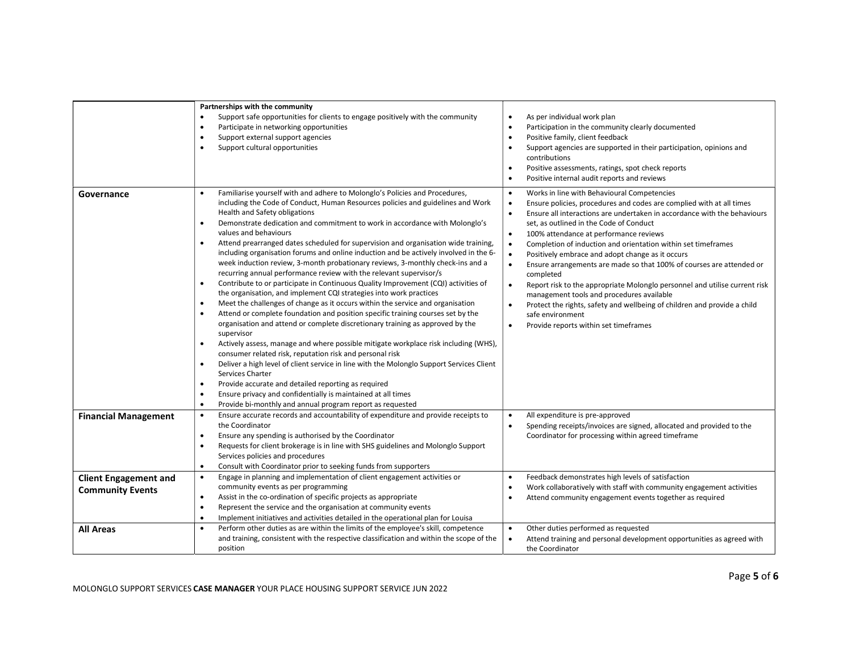|                                                         | Partnerships with the community<br>Support safe opportunities for clients to engage positively with the community<br>$\bullet$<br>Participate in networking opportunities<br>$\bullet$<br>Support external support agencies<br>$\bullet$<br>Support cultural opportunities<br>$\bullet$                                                                                                                                                                                                                                                                                                                                                                                                                                                                                                                                                                                                                                                                                                                                                                                                                                                                                                                                                                                                                                                                                                                                                                                                                                                                                                                                                                    | As per individual work plan<br>$\bullet$<br>Participation in the community clearly documented<br>$\bullet$<br>Positive family, client feedback<br>$\bullet$<br>Support agencies are supported in their participation, opinions and<br>$\bullet$<br>contributions<br>Positive assessments, ratings, spot check reports<br>$\bullet$<br>Positive internal audit reports and reviews<br>$\bullet$                                                                                                                                                                                                                                                                                                                                                                                                                                                                                                       |
|---------------------------------------------------------|------------------------------------------------------------------------------------------------------------------------------------------------------------------------------------------------------------------------------------------------------------------------------------------------------------------------------------------------------------------------------------------------------------------------------------------------------------------------------------------------------------------------------------------------------------------------------------------------------------------------------------------------------------------------------------------------------------------------------------------------------------------------------------------------------------------------------------------------------------------------------------------------------------------------------------------------------------------------------------------------------------------------------------------------------------------------------------------------------------------------------------------------------------------------------------------------------------------------------------------------------------------------------------------------------------------------------------------------------------------------------------------------------------------------------------------------------------------------------------------------------------------------------------------------------------------------------------------------------------------------------------------------------------|------------------------------------------------------------------------------------------------------------------------------------------------------------------------------------------------------------------------------------------------------------------------------------------------------------------------------------------------------------------------------------------------------------------------------------------------------------------------------------------------------------------------------------------------------------------------------------------------------------------------------------------------------------------------------------------------------------------------------------------------------------------------------------------------------------------------------------------------------------------------------------------------------|
| Governance                                              | Familiarise yourself with and adhere to Molonglo's Policies and Procedures,<br>$\bullet$<br>including the Code of Conduct, Human Resources policies and guidelines and Work<br>Health and Safety obligations<br>Demonstrate dedication and commitment to work in accordance with Molonglo's<br>$\bullet$<br>values and behaviours<br>Attend prearranged dates scheduled for supervision and organisation wide training,<br>including organisation forums and online induction and be actively involved in the 6-<br>week induction review, 3-month probationary reviews, 3-monthly check-ins and a<br>recurring annual performance review with the relevant supervisor/s<br>Contribute to or participate in Continuous Quality Improvement (CQI) activities of<br>$\bullet$<br>the organisation, and implement CQI strategies into work practices<br>Meet the challenges of change as it occurs within the service and organisation<br>$\bullet$<br>Attend or complete foundation and position specific training courses set by the<br>organisation and attend or complete discretionary training as approved by the<br>supervisor<br>Actively assess, manage and where possible mitigate workplace risk including (WHS),<br>$\bullet$<br>consumer related risk, reputation risk and personal risk<br>Deliver a high level of client service in line with the Molonglo Support Services Client<br>$\bullet$<br>Services Charter<br>Provide accurate and detailed reporting as required<br>$\bullet$<br>Ensure privacy and confidentially is maintained at all times<br>$\bullet$<br>Provide bi-monthly and annual program report as requested<br>$\bullet$ | Works in line with Behavioural Competencies<br>$\bullet$<br>Ensure policies, procedures and codes are complied with at all times<br>$\bullet$<br>Ensure all interactions are undertaken in accordance with the behaviours<br>$\bullet$<br>set, as outlined in the Code of Conduct<br>100% attendance at performance reviews<br>$\bullet$<br>Completion of induction and orientation within set timeframes<br>$\bullet$<br>Positively embrace and adopt change as it occurs<br>$\bullet$<br>$\bullet$<br>Ensure arrangements are made so that 100% of courses are attended or<br>completed<br>Report risk to the appropriate Molonglo personnel and utilise current risk<br>$\bullet$<br>management tools and procedures available<br>Protect the rights, safety and wellbeing of children and provide a child<br>$\bullet$<br>safe environment<br>$\bullet$<br>Provide reports within set timeframes |
| <b>Financial Management</b>                             | Ensure accurate records and accountability of expenditure and provide receipts to<br>$\bullet$<br>the Coordinator<br>Ensure any spending is authorised by the Coordinator<br>$\bullet$<br>Requests for client brokerage is in line with SHS guidelines and Molonglo Support<br>$\bullet$<br>Services policies and procedures<br>Consult with Coordinator prior to seeking funds from supporters<br>$\bullet$                                                                                                                                                                                                                                                                                                                                                                                                                                                                                                                                                                                                                                                                                                                                                                                                                                                                                                                                                                                                                                                                                                                                                                                                                                               | All expenditure is pre-approved<br>$\bullet$<br>Spending receipts/invoices are signed, allocated and provided to the<br>$\bullet$<br>Coordinator for processing within agreed timeframe                                                                                                                                                                                                                                                                                                                                                                                                                                                                                                                                                                                                                                                                                                              |
| <b>Client Engagement and</b><br><b>Community Events</b> | Engage in planning and implementation of client engagement activities or<br>$\bullet$<br>community events as per programming<br>Assist in the co-ordination of specific projects as appropriate<br>$\bullet$<br>Represent the service and the organisation at community events<br>$\bullet$<br>Implement initiatives and activities detailed in the operational plan for Louisa<br>$\bullet$                                                                                                                                                                                                                                                                                                                                                                                                                                                                                                                                                                                                                                                                                                                                                                                                                                                                                                                                                                                                                                                                                                                                                                                                                                                               | Feedback demonstrates high levels of satisfaction<br>$\bullet$<br>Work collaboratively with staff with community engagement activities<br>$\bullet$<br>Attend community engagement events together as required<br>$\bullet$                                                                                                                                                                                                                                                                                                                                                                                                                                                                                                                                                                                                                                                                          |
| <b>All Areas</b>                                        | Perform other duties as are within the limits of the employee's skill, competence<br>$\bullet$<br>and training, consistent with the respective classification and within the scope of the<br>position                                                                                                                                                                                                                                                                                                                                                                                                                                                                                                                                                                                                                                                                                                                                                                                                                                                                                                                                                                                                                                                                                                                                                                                                                                                                                                                                                                                                                                                      | Other duties performed as requested<br>$\bullet$<br>Attend training and personal development opportunities as agreed with<br>$\bullet$<br>the Coordinator                                                                                                                                                                                                                                                                                                                                                                                                                                                                                                                                                                                                                                                                                                                                            |